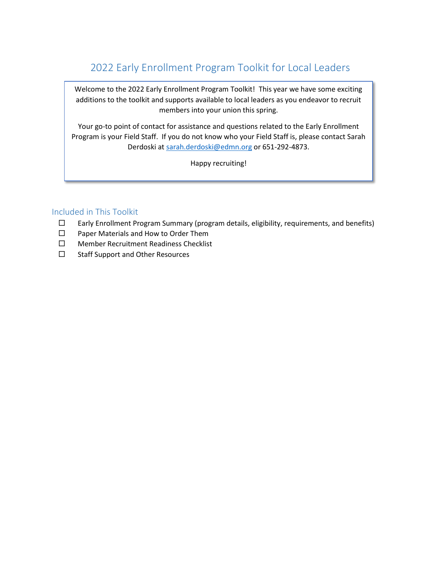# 2022 Early Enrollment Program Toolkit for Local Leaders

Welcome to the 2022 Early Enrollment Program Toolkit! This year we have some exciting additions to the toolkit and supports available to local leaders as you endeavor to recruit members into your union this spring.

Your go-to point of contact for assistance and questions related to the Early Enrollment Program is your Field Staff. If you do not know who your Field Staff is, please contact Sarah Derdoski at [sarah.derdoski@edmn.org](mailto:sarah.derdoski@edmn.org) or 651-292-4873.

Happy recruiting!

# Included in This Toolkit

- $\Box$  Early Enrollment Program Summary (program details, eligibility, requirements, and benefits)
- □ Paper Materials and How to Order Them
- □ Member Recruitment Readiness Checklist
- $\square$  Staff Support and Other Resources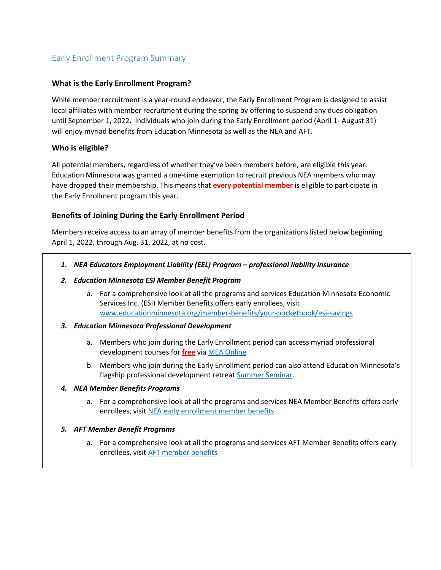# Early Enrollment Program Summary

### **What is the Early Enrollment Program?**

While member recruitment is a year-round endeavor, the Early Enrollment Program is designed to assist local affiliates with member recruitment during the spring by offering to suspend any dues obligation until September 1, 2022. Individuals who join during the Early Enrollment period (April 1- August 31) will enjoy myriad benefits from Education Minnesota as well as the NEA and AFT.

### **Who is eligible?**

All potential members, regardless of whether they've been members before, are eligible this year. Education Minnesota was granted a one-time exemption to recruit previous NEA members who may have dropped their membership. This means that **every potential member** is eligible to participate in the Early Enrollment program this year.

## **Benefits of Joining During the Early Enrollment Period**

Members receive access to an array of member benefits from the organizations listed below beginning April 1, 2022, through Aug. 31, 2022, at no cost.

- *1. NEA Educators Employment Liability (EEL) Program – professional liability insurance*
- *2. Education Minnesota ESI Member Benefit Program*
	- a. For a comprehensive look at all the programs and services Education Minnesota Economic Services Inc. (ESI) Member Benefits offers early enrollees, visit [www.educationminnesota.org/member-benefits/your-pocketbook/esi-savings](http://www.educationminnesota.org/member-benefits/your-pocketbook/esi-savings)
- *3. Education Minnesota Professional Development*
	- a. Members who join during the Early Enrollment period can access myriad professional development courses for **free** via [MEA Online](https://educationminnesota.org/resources/professional-development/mea-online/)
	- b. Members who join during the Early Enrollment period can also attend Education Minnesota's flagship professional development retrea[t Summer Seminar.](https://educationminnesota.org/events/annual-events/summer-seminar/)

#### *4. NEA Member Benefits Programs*

- a. For a comprehensive look at all the programs and services NEA Member Benefits offers early enrollees, visi[t NEA early enrollment member benefits](https://www.neamb.com/pages/early-enrollee-welcome?utm_source=TG001258&utm_medium=print&utm_content=earlyenrolleewelcome&utm_campaign=TG001064)
- *5. AFT Member Benefit Programs* 
	- a. For a comprehensive look at all the programs and services AFT Member Benefits offers early enrollees, visi[t AFT member benefits](https://www.aft.org/member-benefits)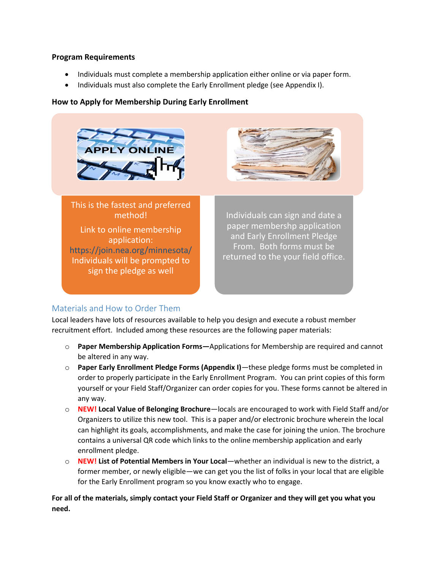#### **Program Requirements**

- Individuals must complete a membership application either online or via paper form.
- Individuals must also complete the Early Enrollment pledge (see Appendix I).

### **How to Apply for Membership During Early Enrollment**





This is the fastest and preferred method! Link to online membership application: https://join.nea.org/minnesota/ Individuals will be prompted to sign the pledge as well

Individuals can sign and date a paper membershp application and Early Enrollment Pledge From. Both forms must be returned to the your field office.

# Materials and How to Order Them

Local leaders have lots of resources available to help you design and execute a robust member recruitment effort. Included among these resources are the following paper materials:

- o **Paper Membership Application Forms—**Applications for Membership are required and cannot be altered in any way.
- o **Paper Early Enrollment Pledge Forms (Appendix I)**—these pledge forms must be completed in order to properly participate in the Early Enrollment Program. You can print copies of this form yourself or your Field Staff/Organizer can order copies for you. These forms cannot be altered in any way.
- o **NEW! Local Value of Belonging Brochure**—locals are encouraged to work with Field Staff and/or Organizers to utilize this new tool. This is a paper and/or electronic brochure wherein the local can highlight its goals, accomplishments, and make the case for joining the union. The brochure contains a universal QR code which links to the online membership application and early enrollment pledge.
- o **NEW! List of Potential Members in Your Local**—whether an individual is new to the district, a former member, or newly eligible—we can get you the list of folks in your local that are eligible for the Early Enrollment program so you know exactly who to engage.

**For all of the materials, simply contact your Field Staff or Organizer and they will get you what you need.**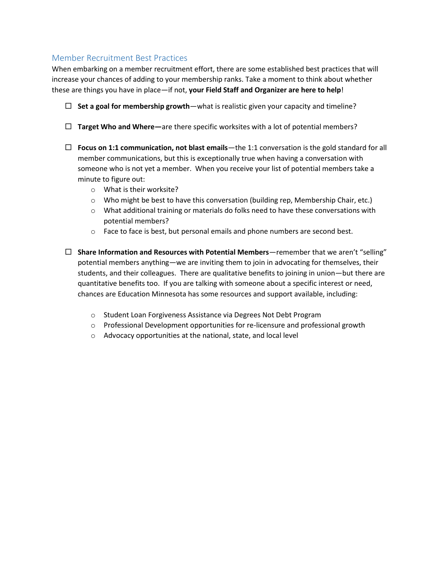## Member Recruitment Best Practices

When embarking on a member recruitment effort, there are some established best practices that will increase your chances of adding to your membership ranks. Take a moment to think about whether these are things you have in place—if not, **your Field Staff and Organizer are here to help**!

- $\Box$  Set a goal for membership growth—what is realistic given your capacity and timeline?
- **Target Who and Where—**are there specific worksites with a lot of potential members?
- **Focus on 1:1 communication, not blast emails**—the 1:1 conversation is the gold standard for all member communications, but this is exceptionally true when having a conversation with someone who is not yet a member. When you receive your list of potential members take a minute to figure out:
	- o What is their worksite?
	- $\circ$  Who might be best to have this conversation (building rep, Membership Chair, etc.)
	- $\circ$  What additional training or materials do folks need to have these conversations with potential members?
	- $\circ$  Face to face is best, but personal emails and phone numbers are second best.
- **Share Information and Resources with Potential Members**—remember that we aren't "selling" potential members anything—we are inviting them to join in advocating for themselves, their students, and their colleagues. There are qualitative benefits to joining in union—but there are quantitative benefits too. If you are talking with someone about a specific interest or need, chances are Education Minnesota has some resources and support available, including:
	- o Student Loan Forgiveness Assistance via Degrees Not Debt Program
	- $\circ$  Professional Development opportunities for re-licensure and professional growth
	- o Advocacy opportunities at the national, state, and local level